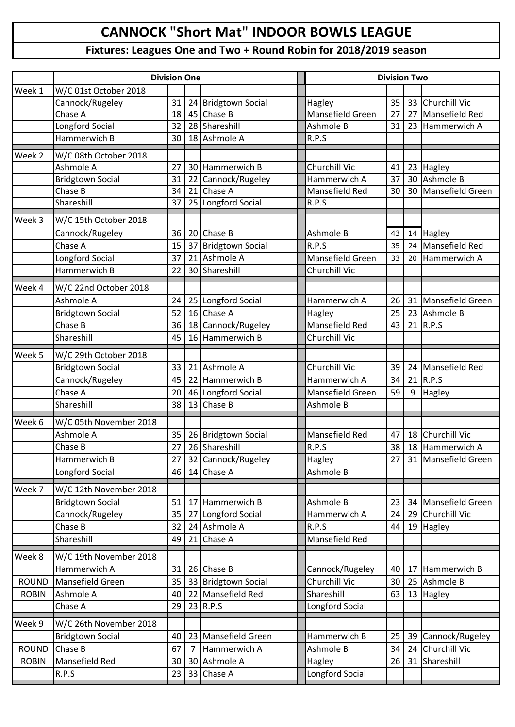## **CANNOCK "Short Mat" INDOOR BOWLS LEAGUE**

## **Fixtures: Leagues One and Two + Round Robin for 2018/2019 season**

|                   | <b>Division One</b>     |    | <b>Division Two</b> |                                      |                         |    |                 |                        |
|-------------------|-------------------------|----|---------------------|--------------------------------------|-------------------------|----|-----------------|------------------------|
| Week 1            | W/C 01st October 2018   |    |                     |                                      |                         |    |                 |                        |
|                   | Cannock/Rugeley         | 31 | 24                  | <b>Bridgtown Social</b>              | Hagley                  | 35 |                 | 33 Churchill Vic       |
|                   | Chase A                 | 18 | 45                  | Chase B                              | <b>Mansefield Green</b> | 27 | 27              | Mansefield Red         |
|                   | Longford Social         | 32 | 28                  | Shareshill                           | Ashmole B               | 31 | 23              | Hammerwich A           |
|                   | Hammerwich B            | 30 |                     | 18 Ashmole A                         | R.P.S                   |    |                 |                        |
| Week <sub>2</sub> | W/C 08th October 2018   |    |                     |                                      |                         |    |                 |                        |
|                   | Ashmole A               | 27 | 30                  | Hammerwich B                         | <b>Churchill Vic</b>    | 41 |                 | 23 Hagley              |
|                   | <b>Bridgtown Social</b> | 31 | 22                  | Cannock/Rugeley                      | Hammerwich A            | 37 | 30              | Ashmole B              |
|                   | Chase B                 | 34 | 21                  | Chase A                              | <b>Mansefield Red</b>   | 30 | 30 <sup>1</sup> | Mansefield Green       |
|                   | Shareshill              | 37 |                     | 25 Longford Social                   | R.P.S                   |    |                 |                        |
| Week 3            | W/C 15th October 2018   |    |                     |                                      |                         |    |                 |                        |
|                   |                         |    |                     |                                      |                         |    |                 |                        |
|                   | Cannock/Rugeley         | 36 | 20                  | Chase B                              | Ashmole B               | 43 | 14              | <b>Hagley</b>          |
|                   | Chase A                 | 15 | 37                  | <b>Bridgtown Social</b><br>Ashmole A | R.P.S                   | 35 | 24              | Mansefield Red         |
|                   | Longford Social         | 37 | 21                  |                                      | Mansefield Green        | 33 | 20              | Hammerwich A           |
|                   | Hammerwich B            | 22 | 30                  | Shareshill                           | <b>Churchill Vic</b>    |    |                 |                        |
| Week 4            | W/C 22nd October 2018   |    |                     |                                      |                         |    |                 |                        |
|                   | Ashmole A               | 24 |                     | 25 Longford Social                   | Hammerwich A            | 26 |                 | 31 Mansefield Green    |
|                   | <b>Bridgtown Social</b> | 52 | 16                  | Chase A                              | Hagley                  | 25 | 23              | Ashmole B              |
|                   | Chase B                 | 36 |                     | 18 Cannock/Rugeley                   | Mansefield Red          | 43 |                 | $21$ R.P.S             |
|                   | Shareshill              | 45 |                     | 16 Hammerwich B                      | Churchill Vic           |    |                 |                        |
| Week 5            | W/C 29th October 2018   |    |                     |                                      |                         |    |                 |                        |
|                   | <b>Bridgtown Social</b> | 33 | 21                  | Ashmole A                            | <b>Churchill Vic</b>    | 39 | 24              | Mansefield Red         |
|                   | Cannock/Rugeley         | 45 | 22                  | Hammerwich B                         | Hammerwich A            | 34 | 21              | R.P.S                  |
|                   | Chase A                 | 20 |                     | 46 Longford Social                   | Mansefield Green        | 59 | 9               | Hagley                 |
|                   | Shareshill              | 38 | 13                  | Chase B                              | Ashmole B               |    |                 |                        |
|                   |                         |    |                     |                                      |                         |    |                 |                        |
| Week 6            | W/C 05th November 2018  |    |                     |                                      |                         |    |                 |                        |
|                   | Ashmole A               | 35 |                     | 26 Bridgtown Social                  | Mansefield Red          | 47 | 18              | <b>Churchill Vic</b>   |
|                   | Chase B                 | 27 |                     | 26 Shareshill                        | R.P.S                   | 38 | 18              | Hammerwich A           |
|                   | Hammerwich B            | 27 |                     | 32 Cannock/Rugeley                   | Hagley                  |    |                 | 27 31 Mansefield Green |
|                   | Longford Social         | 46 | 14                  | Chase A                              | Ashmole B               |    |                 |                        |
| Week 7            | W/C 12th November 2018  |    |                     |                                      |                         |    |                 |                        |
|                   | <b>Bridgtown Social</b> | 51 | 17                  | Hammerwich B                         | Ashmole B               | 23 |                 | 34 Mansefield Green    |
|                   | Cannock/Rugeley         | 35 | 27                  | Longford Social                      | Hammerwich A            | 24 | 29              | Churchill Vic          |
|                   | Chase B                 | 32 | 24                  | Ashmole A                            | R.P.S                   | 44 |                 | 19 Hagley              |
|                   | Shareshill              | 49 | 21                  | Chase A                              | Mansefield Red          |    |                 |                        |
| Week 8            | W/C 19th November 2018  |    |                     |                                      |                         |    |                 |                        |
|                   | Hammerwich A            | 31 |                     | 26 Chase B                           | Cannock/Rugeley         | 40 | 17              | Hammerwich B           |
| <b>ROUND</b>      | Mansefield Green        | 35 | 33                  | Bridgtown Social                     | Churchill Vic           | 30 | 25              | Ashmole B              |
| <b>ROBIN</b>      | Ashmole A               | 40 | 22                  | Mansefield Red                       | Shareshill              | 63 |                 | 13 Hagley              |
|                   | Chase A                 | 29 | 23                  | R.P.S                                | Longford Social         |    |                 |                        |
|                   |                         |    |                     |                                      |                         |    |                 |                        |
| Week 9            | W/C 26th November 2018  |    |                     |                                      |                         |    |                 |                        |
|                   | <b>Bridgtown Social</b> | 40 | 23                  | Mansefield Green                     | Hammerwich B            | 25 | 39              | Cannock/Rugeley        |
| <b>ROUND</b>      | Chase B                 | 67 | $\overline{7}$      | Hammerwich A                         | Ashmole B               | 34 | 24              | Churchill Vic          |
| <b>ROBIN</b>      | Mansefield Red          | 30 | 30                  | Ashmole A                            | Hagley                  | 26 | 31              | Shareshill             |
|                   | R.P.S                   | 23 | 33                  | Chase A                              | Longford Social         |    |                 |                        |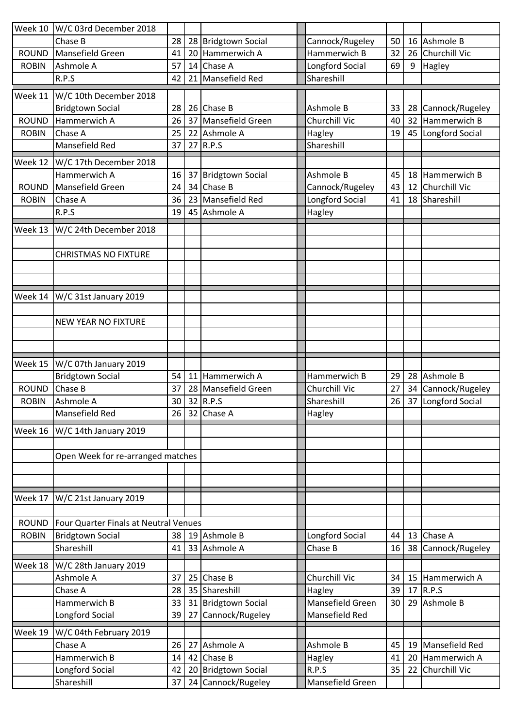| Week 10      | W/C 03rd December 2018                                        |          |    |                                           |                            |          |          |                            |
|--------------|---------------------------------------------------------------|----------|----|-------------------------------------------|----------------------------|----------|----------|----------------------------|
|              | Chase B                                                       | 28       |    | 28 Bridgtown Social                       | Cannock/Rugeley            | 50       |          | 16 Ashmole B               |
| <b>ROUND</b> | Mansefield Green                                              | 41       | 20 | Hammerwich A                              | Hammerwich B               | 32       | 26       | Churchill Vic              |
| <b>ROBIN</b> | Ashmole A                                                     | 57       | 14 | Chase A                                   | Longford Social            | 69       | 9        | Hagley                     |
|              | R.P.S                                                         | 42       | 21 | Mansefield Red                            | Shareshill                 |          |          |                            |
| Week 11      | W/C 10th December 2018                                        |          |    |                                           |                            |          |          |                            |
|              | <b>Bridgtown Social</b>                                       | 28       |    | 26 Chase B                                | Ashmole B                  | 33       | 28       | Cannock/Rugeley            |
| <b>ROUND</b> | Hammerwich A                                                  | 26       | 37 | Mansefield Green                          | Churchill Vic              | 40       | 32       | Hammerwich B               |
| <b>ROBIN</b> | Chase A                                                       | 25       | 22 | Ashmole A                                 | Hagley                     | 19       | 45       | Longford Social            |
|              | Mansefield Red                                                | 37       | 27 | R.P.S                                     | Shareshill                 |          |          |                            |
| Week 12      | W/C 17th December 2018                                        |          |    |                                           |                            |          |          |                            |
|              | Hammerwich A                                                  | 16       | 37 | <b>Bridgtown Social</b>                   | Ashmole B                  | 45       | 18       | Hammerwich B               |
| <b>ROUND</b> | Mansefield Green                                              | 24       |    | 34 Chase B                                | Cannock/Rugeley            | 43       | 12       | Churchill Vic              |
| <b>ROBIN</b> | Chase A                                                       | 36       | 23 | Mansefield Red                            | Longford Social            | 41       | 18       | Shareshill                 |
|              | R.P.S                                                         | 19       |    | 45 Ashmole A                              | Hagley                     |          |          |                            |
|              |                                                               |          |    |                                           |                            |          |          |                            |
| Week 13      | W/C 24th December 2018                                        |          |    |                                           |                            |          |          |                            |
|              |                                                               |          |    |                                           |                            |          |          |                            |
|              | <b>CHRISTMAS NO FIXTURE</b>                                   |          |    |                                           |                            |          |          |                            |
|              |                                                               |          |    |                                           |                            |          |          |                            |
|              |                                                               |          |    |                                           |                            |          |          |                            |
| Week 14      | W/C 31st January 2019                                         |          |    |                                           |                            |          |          |                            |
|              |                                                               |          |    |                                           |                            |          |          |                            |
|              | <b>NEW YEAR NO FIXTURE</b>                                    |          |    |                                           |                            |          |          |                            |
|              |                                                               |          |    |                                           |                            |          |          |                            |
|              |                                                               |          |    |                                           |                            |          |          |                            |
|              |                                                               |          |    |                                           |                            |          |          |                            |
| Week 15      |                                                               |          |    |                                           |                            |          |          |                            |
|              | $\overline{W}/C$ 07th January 2019<br><b>Bridgtown Social</b> | 54       | 11 | Hammerwich A                              | Hammerwich B               | 29       | 28       | Ashmole B                  |
| <b>ROUND</b> | Chase B                                                       | 37       |    | 28 Mansefield Green                       | Churchill Vic              | 27       | 34       | Cannock/Rugeley            |
| <b>ROBIN</b> | Ashmole A                                                     | 30       |    | 32 R.P.S                                  | Shareshill                 | 26       | 37       | Longford Social            |
|              | Mansefield Red                                                |          |    | 26 32 Chase A                             | Hagley                     |          |          |                            |
| Week 16      | W/C 14th January 2019                                         |          |    |                                           |                            |          |          |                            |
|              |                                                               |          |    |                                           |                            |          |          |                            |
|              |                                                               |          |    |                                           |                            |          |          |                            |
|              | Open Week for re-arranged matches                             |          |    |                                           |                            |          |          |                            |
|              |                                                               |          |    |                                           |                            |          |          |                            |
|              |                                                               |          |    |                                           |                            |          |          |                            |
| Week 17      | W/C 21st January 2019                                         |          |    |                                           |                            |          |          |                            |
|              |                                                               |          |    |                                           |                            |          |          |                            |
| <b>ROUND</b> | Four Quarter Finals at Neutral Venues                         |          |    |                                           |                            |          |          |                            |
| <b>ROBIN</b> | <b>Bridgtown Social</b><br>Shareshill                         | 38<br>41 |    | 19 Ashmole B<br>33 Ashmole A              | Longford Social<br>Chase B | 44<br>16 | 13<br>38 | Chase A<br>Cannock/Rugeley |
|              |                                                               |          |    |                                           |                            |          |          |                            |
| Week 18      | W/C 28th January 2019                                         |          |    |                                           |                            |          |          |                            |
|              | Ashmole A                                                     | 37       |    | 25 Chase B                                | Churchill Vic              | 34       | 15       | Hammerwich A               |
|              | Chase A                                                       | 28       |    | 35 Shareshill                             | Hagley                     | 39       | 17       | R.P.S                      |
|              | Hammerwich B                                                  | 33       |    | 31 Bridgtown Social                       | Mansefield Green           | 30       | 29       | Ashmole B                  |
|              | Longford Social                                               | 39       | 27 | Cannock/Rugeley                           | Mansefield Red             |          |          |                            |
| Week 19      | W/C 04th February 2019                                        |          |    |                                           |                            |          |          |                            |
|              | Chase A                                                       | 26       | 27 | Ashmole A                                 | Ashmole B                  | 45       | 19       | Mansefield Red             |
|              | Hammerwich B                                                  | 14       |    | 42 Chase B                                | Hagley                     | 41       | 20       | Hammerwich A               |
|              | Longford Social<br>Shareshill                                 | 42<br>37 |    | 20 Bridgtown Social<br>24 Cannock/Rugeley | R.P.S<br>Mansefield Green  | 35       | 22       | Churchill Vic              |